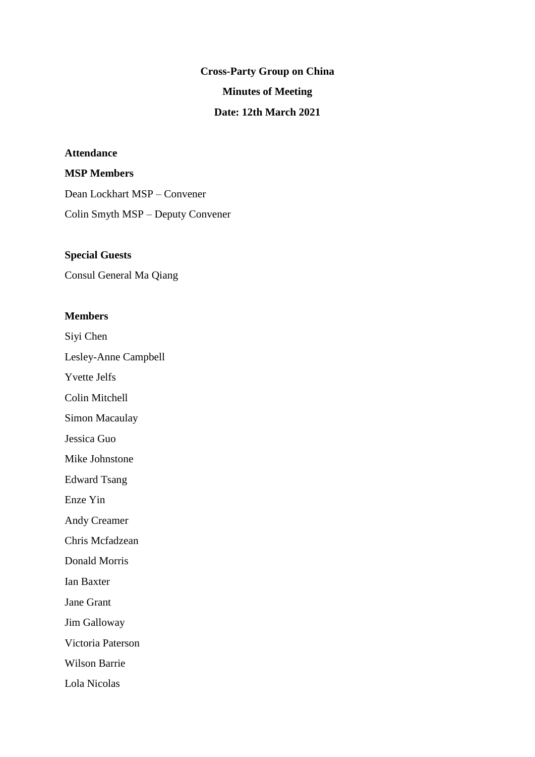# **Cross-Party Group on China Minutes of Meeting Date: 12th March 2021**

# **Attendance**

# **MSP Members**

Dean Lockhart MSP – Convener Colin Smyth MSP – Deputy Convener

## **Special Guests**

Consul General Ma Qiang

#### **Members**

Siyi Chen

Lesley-Anne Campbell

Yvette Jelfs

Colin Mitchell

Simon Macaulay

Jessica Guo

Mike Johnstone

Edward Tsang

Enze Yin

Andy Creamer

Chris Mcfadzean

Donald Morris

Ian Baxter

Jane Grant

Jim Galloway

Victoria Paterson

Wilson Barrie

Lola Nicolas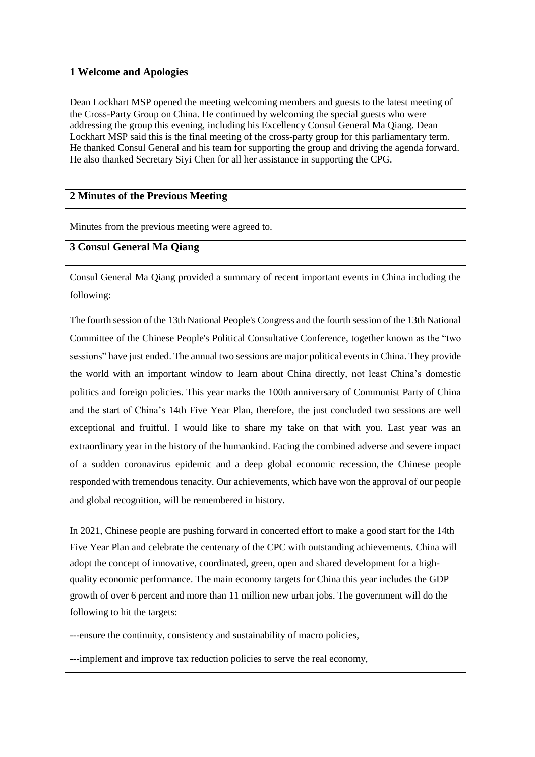#### **1 Welcome and Apologies**

Dean Lockhart MSP opened the meeting welcoming members and guests to the latest meeting of the Cross-Party Group on China. He continued by welcoming the special guests who were addressing the group this evening, including his Excellency Consul General Ma Qiang. Dean Lockhart MSP said this is the final meeting of the cross-party group for this parliamentary term. He thanked Consul General and his team for supporting the group and driving the agenda forward. He also thanked Secretary Siyi Chen for all her assistance in supporting the CPG.

## **2 Minutes of the Previous Meeting**

Minutes from the previous meeting were agreed to.

#### **3 Consul General Ma Qiang**

Consul General Ma Qiang provided a summary of recent important events in China including the following:

The fourth session of the 13th National People's Congress and the fourth session of the 13th National Committee of the Chinese People's Political Consultative Conference, together known as the "two sessions" have just ended. The annual two sessions are major political events in China. They provide the world with an important window to learn about China directly, not least China's domestic politics and foreign policies. This year marks the 100th anniversary of Communist Party of China and the start of China's 14th Five Year Plan, therefore, the just concluded two sessions are well exceptional and fruitful. I would like to share my take on that with you. Last year was an extraordinary year in the history of the humankind. Facing the combined adverse and severe impact of a sudden coronavirus epidemic and a deep global economic recession, the Chinese people responded with tremendous tenacity. Our achievements, which have won the approval of our people and global recognition, will be remembered in history.

In 2021, Chinese people are pushing forward in concerted effort to make a good start for the 14th Five Year Plan and celebrate the centenary of the CPC with outstanding achievements. China will adopt the concept of innovative, coordinated, green, open and shared development for a highquality economic performance. The main economy targets for China this year includes the GDP growth of over 6 percent and more than 11 million new urban jobs. The government will do the following to hit the targets:

---ensure the continuity, consistency and sustainability of macro policies,

---implement and improve tax reduction policies to serve the real economy,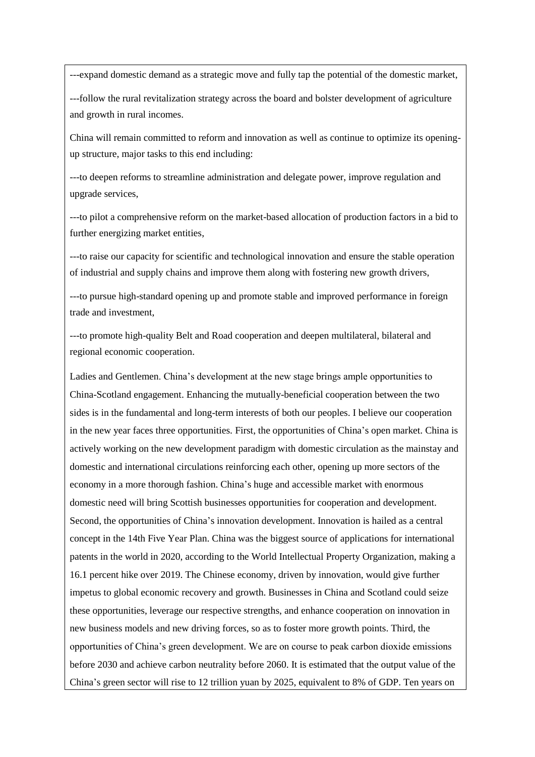---expand domestic demand as a strategic move and fully tap the potential of the domestic market,

---follow the rural revitalization strategy across the board and bolster development of agriculture and growth in rural incomes.

China will remain committed to reform and innovation as well as continue to optimize its openingup structure, major tasks to this end including:

---to deepen reforms to streamline administration and delegate power, improve regulation and upgrade services,

---to pilot a comprehensive reform on the market-based allocation of production factors in a bid to further energizing market entities,

---to raise our capacity for scientific and technological innovation and ensure the stable operation of industrial and supply chains and improve them along with fostering new growth drivers,

---to pursue high-standard opening up and promote stable and improved performance in foreign trade and investment,

---to promote high-quality Belt and Road cooperation and deepen multilateral, bilateral and regional economic cooperation.

Ladies and Gentlemen. China's development at the new stage brings ample opportunities to China-Scotland engagement. Enhancing the mutually-beneficial cooperation between the two sides is in the fundamental and long-term interests of both our peoples. I believe our cooperation in the new year faces three opportunities. First, the opportunities of China's open market. China is actively working on the new development paradigm with domestic circulation as the mainstay and domestic and international circulations reinforcing each other, opening up more sectors of the economy in a more thorough fashion. China's huge and accessible market with enormous domestic need will bring Scottish businesses opportunities for cooperation and development. Second, the opportunities of China's innovation development. Innovation is hailed as a central concept in the 14th Five Year Plan. China was the biggest source of applications for international patents in the world in 2020, according to the World Intellectual Property Organization, making a 16.1 percent hike over 2019. The Chinese economy, driven by innovation, would give further impetus to global economic recovery and growth. Businesses in China and Scotland could seize these opportunities, leverage our respective strengths, and enhance cooperation on innovation in new business models and new driving forces, so as to foster more growth points. Third, the opportunities of China's green development. We are on course to peak carbon dioxide emissions before 2030 and achieve carbon neutrality before 2060. It is estimated that the output value of the China's green sector will rise to 12 trillion yuan by 2025, equivalent to 8% of GDP. Ten years on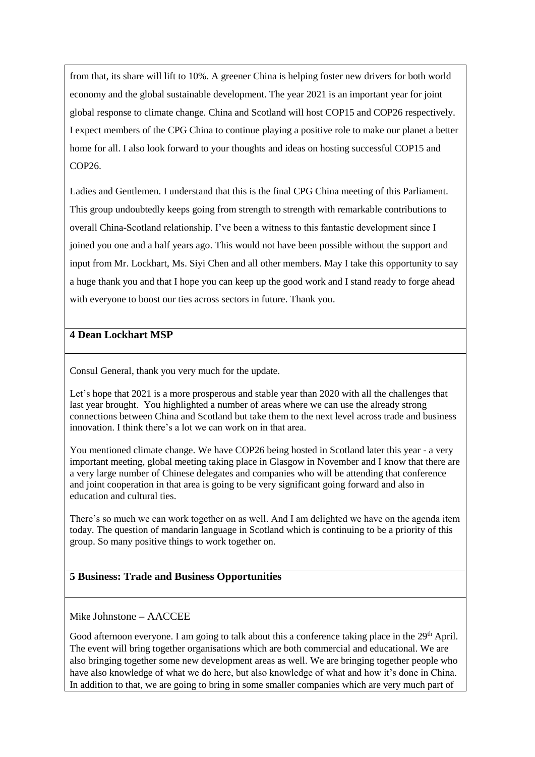from that, its share will lift to 10%. A greener China is helping foster new drivers for both world economy and the global sustainable development. The year 2021 is an important year for joint global response to climate change. China and Scotland will host COP15 and COP26 respectively. I expect members of the CPG China to continue playing a positive role to make our planet a better home for all. I also look forward to your thoughts and ideas on hosting successful COP15 and COP26.

Ladies and Gentlemen. I understand that this is the final CPG China meeting of this Parliament. This group undoubtedly keeps going from strength to strength with remarkable contributions to overall China-Scotland relationship. I've been a witness to this fantastic development since I joined you one and a half years ago. This would not have been possible without the support and input from Mr. Lockhart, Ms. Siyi Chen and all other members. May I take this opportunity to say a huge thank you and that I hope you can keep up the good work and I stand ready to forge ahead with everyone to boost our ties across sectors in future. Thank you.

## **4 Dean Lockhart MSP**

Consul General, thank you very much for the update.

Let's hope that 2021 is a more prosperous and stable year than 2020 with all the challenges that last year brought. You highlighted a number of areas where we can use the already strong connections between China and Scotland but take them to the next level across trade and business innovation. I think there's a lot we can work on in that area.

You mentioned climate change. We have COP26 being hosted in Scotland later this year - a very important meeting, global meeting taking place in Glasgow in November and I know that there are a very large number of Chinese delegates and companies who will be attending that conference and joint cooperation in that area is going to be very significant going forward and also in education and cultural ties.

There's so much we can work together on as well. And I am delighted we have on the agenda item today. The question of mandarin language in Scotland which is continuing to be a priority of this group. So many positive things to work together on.

## **5 Business: Trade and Business Opportunities**

Mike Johnstone – AACCEE

Good afternoon everyone. I am going to talk about this a conference taking place in the 29<sup>th</sup> April. The event will bring together organisations which are both commercial and educational. We are also bringing together some new development areas as well. We are bringing together people who have also knowledge of what we do here, but also knowledge of what and how it's done in China. In addition to that, we are going to bring in some smaller companies which are very much part of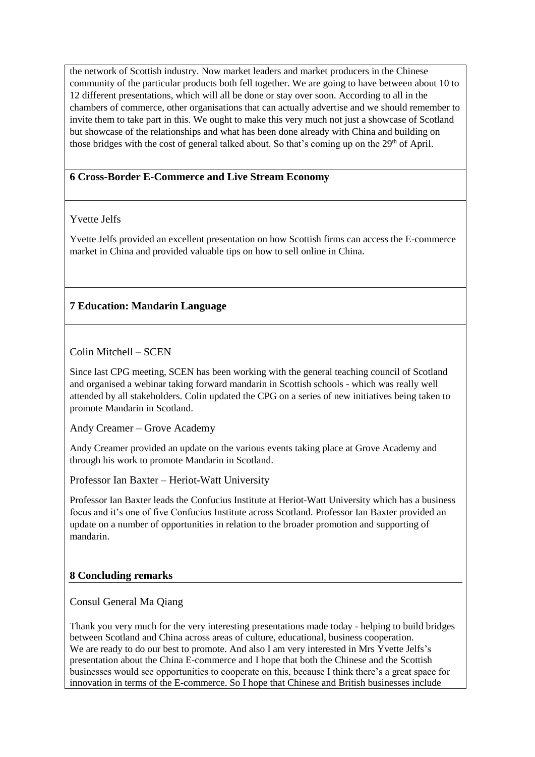the network of Scottish industry. Now market leaders and market producers in the Chinese community of the particular products both fell together. We are going to have between about 10 to 12 different presentations, which will all be done or stay over soon. According to all in the chambers of commerce, other organisations that can actually advertise and we should remember to invite them to take part in this. We ought to make this very much not just a showcase of Scotland but showcase of the relationships and what has been done already with China and building on those bridges with the cost of general talked about. So that's coming up on the  $29<sup>th</sup>$  of April.

## **6 Cross-Border E-Commerce and Live Stream Economy**

## Yvette Jelfs

Yvette Jelfs provided an excellent presentation on how Scottish firms can access the E-commerce market in China and provided valuable tips on how to sell online in China.

# **7 Education: Mandarin Language**

Colin Mitchell – SCEN

Since last CPG meeting, SCEN has been working with the general teaching council of Scotland and organised a webinar taking forward mandarin in Scottish schools - which was really well attended by all stakeholders. Colin updated the CPG on a series of new initiatives being taken to promote Mandarin in Scotland.

Andy Creamer – Grove Academy

Andy Creamer provided an update on the various events taking place at Grove Academy and through his work to promote Mandarin in Scotland.

Professor Ian Baxter – Heriot-Watt University

Professor Ian Baxter leads the Confucius Institute at Heriot-Watt University which has a business focus and it's one of five Confucius Institute across Scotland. Professor Ian Baxter provided an update on a number of opportunities in relation to the broader promotion and supporting of mandarin.

#### **8 Concluding remarks**

Consul General Ma Qiang

Thank you very much for the very interesting presentations made today - helping to build bridges between Scotland and China across areas of culture, educational, business cooperation. We are ready to do our best to promote. And also I am very interested in Mrs Yvette Jelfs's presentation about the China E-commerce and I hope that both the Chinese and the Scottish businesses would see opportunities to cooperate on this, because I think there's a great space for innovation in terms of the E-commerce. So I hope that Chinese and British businesses include